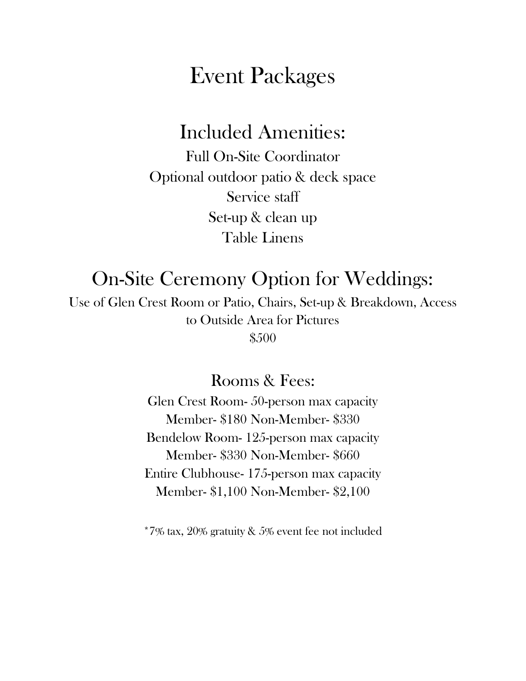# Event Packages

### Included Amenities:

Full On-Site Coordinator Optional outdoor patio & deck space Service staff Set-up & clean up Table Linens

## On-Site Ceremony Option for Weddings:

Use of Glen Crest Room or Patio, Chairs, Set-up & Breakdown, Access to Outside Area for Pictures \$500

#### Rooms & Fees:

Glen Crest Room- 50-person max capacity Member- \$180 Non-Member- \$330 Bendelow Room- 125-person max capacity Member- \$330 Non-Member- \$660 Entire Clubhouse- 175-person max capacity Member- \$1,100 Non-Member- \$2,100

\*7% tax, 20% gratuity & 5% event fee not included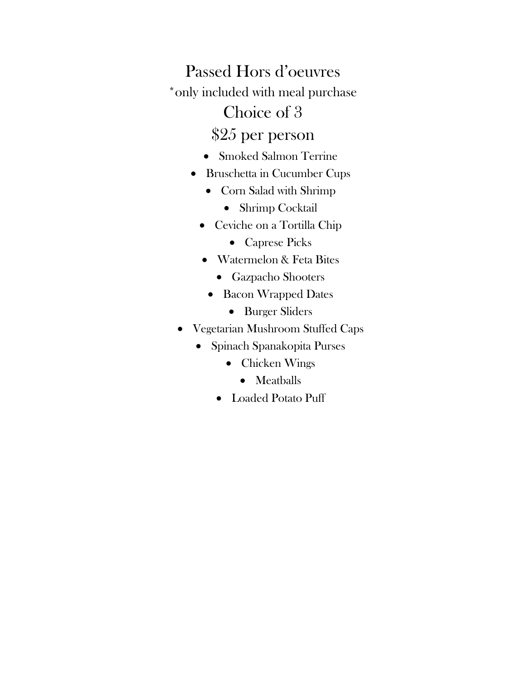# Passed Hors d'oeuvres \*only included with meal purchase Choice of 3

### \$25 per person

- Smoked Salmon Terrine
- Bruschetta in Cucumber Cups
	- Corn Salad with Shrimp
		- Shrimp Cocktail
	- Ceviche on a Tortilla Chip
		- Caprese Picks
	- Watermelon & Feta Bites
		- Gazpacho Shooters
	- Bacon Wrapped Dates
		- Burger Sliders
- Vegetarian Mushroom Stuffed Caps
	- Spinach Spanakopita Purses
		- Chicken Wings
			- Meatballs
		- Loaded Potato Puff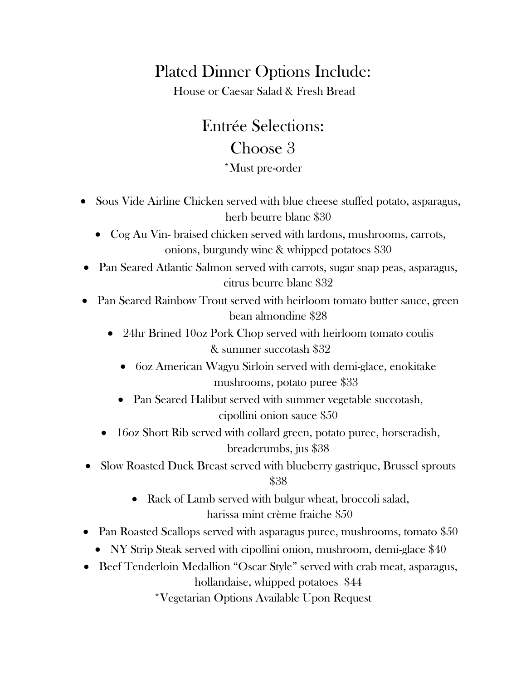### Plated Dinner Options Include:

House or Caesar Salad & Fresh Bread

# Entrée Selections: Choose 3

\*Must pre-order

- Sous Vide Airline Chicken served with blue cheese stuffed potato, asparagus, herb beurre blanc \$30
	- Cog Au Vin- braised chicken served with lardons, mushrooms, carrots, onions, burgundy wine & whipped potatoes \$30
- Pan Seared Atlantic Salmon served with carrots, sugar snap peas, asparagus, citrus beurre blanc \$32
- Pan Seared Rainbow Trout served with heirloom tomato butter sauce, green bean almondine \$28
	- 24hr Brined 10oz Pork Chop served with heirloom tomato coulis & summer succotash \$32
		- 6oz American Wagyu Sirloin served with demi-glace, enokitake mushrooms, potato puree \$33
		- Pan Seared Halibut served with summer vegetable succotash, cipollini onion sauce \$50
	- 16oz Short Rib served with collard green, potato puree, horseradish, breadcrumbs, jus \$38
- Slow Roasted Duck Breast served with blueberry gastrique, Brussel sprouts \$38
	- Rack of Lamb served with bulgur wheat, broccoli salad, harissa mint crème fraiche \$50
- Pan Roasted Scallops served with asparagus puree, mushrooms, tomato \$50
	- NY Strip Steak served with cipollini onion, mushroom, demi-glace \$40
- Beef Tenderloin Medallion "Oscar Style" served with crab meat, asparagus,

hollandaise, whipped potatoes \$44

\*Vegetarian Options Available Upon Request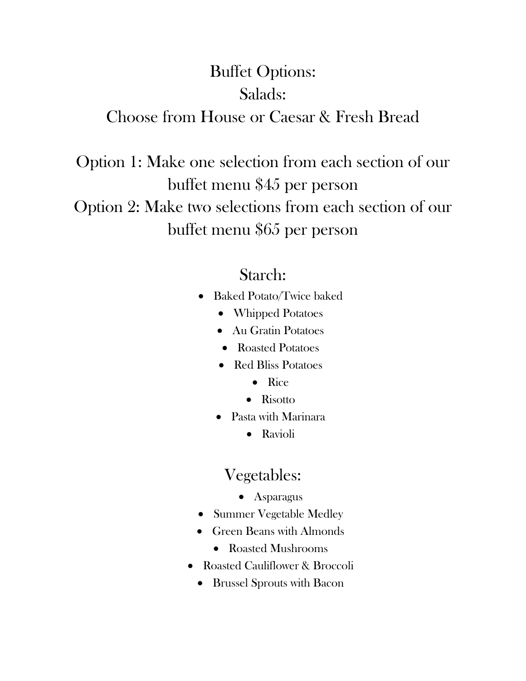### Buffet Options: Salads: Choose from House or Caesar & Fresh Bread

Option 1: Make one selection from each section of our buffet menu \$45 per person Option 2: Make two selections from each section of our buffet menu \$65 per person

#### Starch:

- Baked Potato/Twice baked
	- Whipped Potatoes
	- Au Gratin Potatoes
	- Roasted Potatoes
	- Red Bliss Potatoes
		- Rice
		- Risotto
	- Pasta with Marinara
		- Ravioli

### Vegetables:

- Asparagus
- Summer Vegetable Medley
- Green Beans with Almonds
	- Roasted Mushrooms
- Roasted Cauliflower & Broccoli
	- Brussel Sprouts with Bacon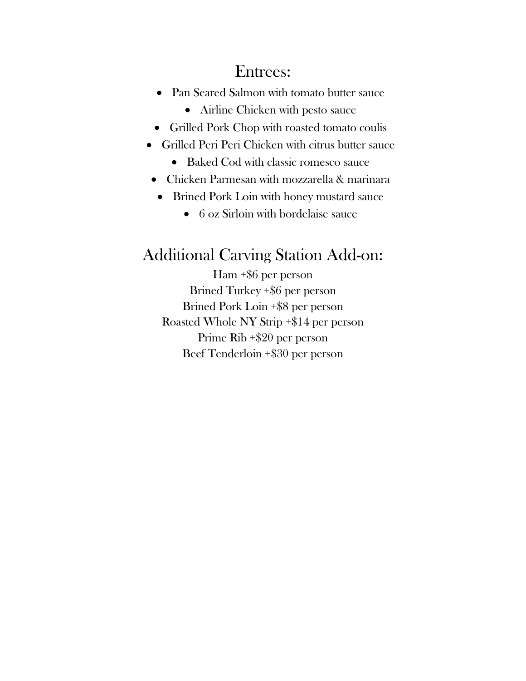#### Entrees:

- Pan Seared Salmon with tomato butter sauce
	- Airline Chicken with pesto sauce
- Grilled Pork Chop with roasted tomato coulis
- Grilled Peri Peri Chicken with citrus butter sauce
	- Baked Cod with classic romesco sauce
- Chicken Parmesan with mozzarella & marinara
	- Brined Pork Loin with honey mustard sauce
		- 6 oz Sirloin with bordelaise sauce

### Additional Carving Station Add-on:

Ham +\$6 per person Brined Turkey +\$6 per person Brined Pork Loin +\$8 per person Roasted Whole NY Strip +\$14 per person Prime Rib +\$20 per person Beef Tenderloin +\$30 per person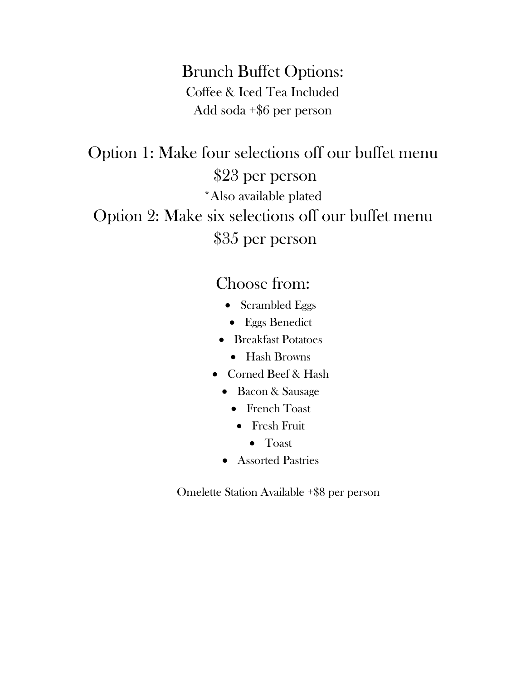Brunch Buffet Options: Coffee & Iced Tea Included Add soda +\$6 per person

Option 1: Make four selections off our buffet menu \$23 per person \*Also available plated Option 2: Make six selections off our buffet menu \$35 per person

#### Choose from:

- Scrambled Eggs
- Eggs Benedict
- Breakfast Potatoes
	- Hash Browns
- Corned Beef & Hash
	- Bacon & Sausage
		- French Toast
			- Fresh Fruit
				- Toast
	- Assorted Pastries

Omelette Station Available +\$8 per person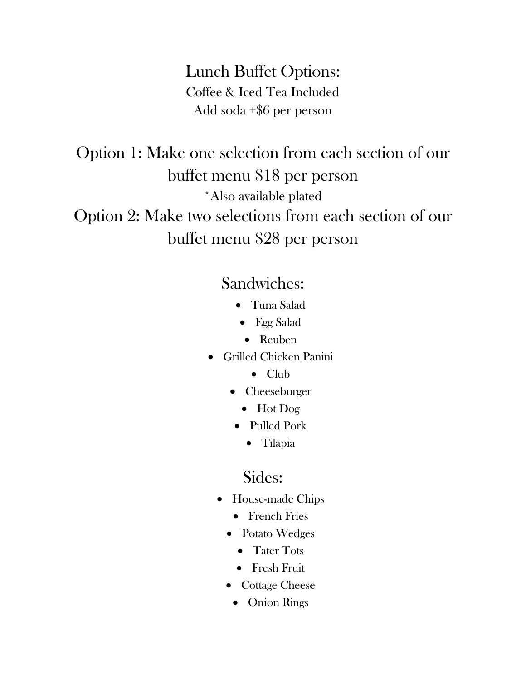Lunch Buffet Options: Coffee & Iced Tea Included Add soda +\$6 per person

Option 1: Make one selection from each section of our buffet menu \$18 per person \*Also available plated Option 2: Make two selections from each section of our buffet menu \$28 per person

#### Sandwiches:

- Tuna Salad
- Egg Salad
- Reuben
- Grilled Chicken Panini
	- Club
	- Cheeseburger
		- Hot Dog
	- Pulled Pork
		- Tilapia

### Sides:

- House-made Chips
	- French Fries
	- Potato Wedges
		- Tater Tots
		- Fresh Fruit
	- Cottage Cheese
		- Onion Rings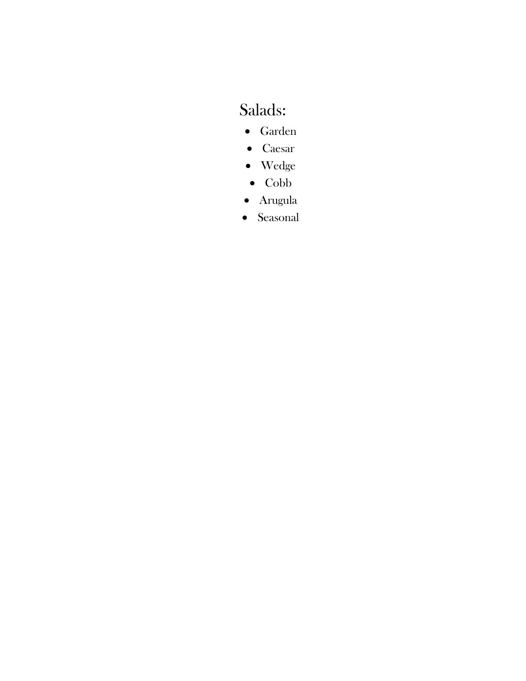### Salads:

- Garden
- Caesar
- Wedge
- Cobb
- Arugula
- Seasonal